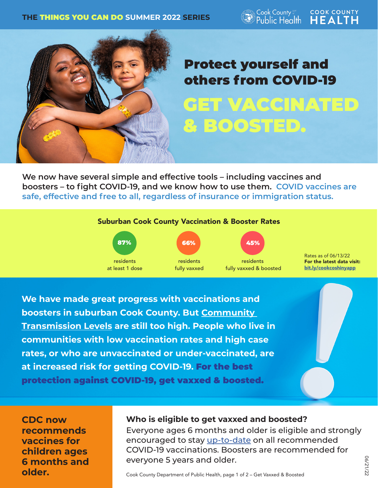Cook County Public Health

**COOK COUNTY HEALTH** 



## GET VACCINATED & BOOSTED. Protect yourself and others from COVID-19

**We now have several simple and effective tools – including vaccines and boosters – to fight COVID-19, and we know how to use them. COVID vaccines are safe, effective and free to all, regardless of insurance or immigration status.**



**boosters in suburban Cook County. But Community Transmission [Levels](https://www.cdc.gov/coronavirus/2019-ncov/your-health/covid-by-county.html) are still too high. People who live in communities with low vaccination rates and high case rates, or who are unvaccinated or under-vaccinated, are at increased risk for getting COVID-19.** For the best protection against COVID-19, get vaxxed & boosted.

**CDC now recommends vaccines for children ages 6 months and older.** 

## **Who is eligible to get vaxxed and boosted?**

Everyone ages 6 months and older is eligible and strongly encouraged to stay [up-to-date](https://www.cdc.gov/coronavirus/2019-ncov/vaccines/stay-up-to-date.html) on all recommended COVID-19 vaccinations. Boosters are recommended for everyone 5 years and older.